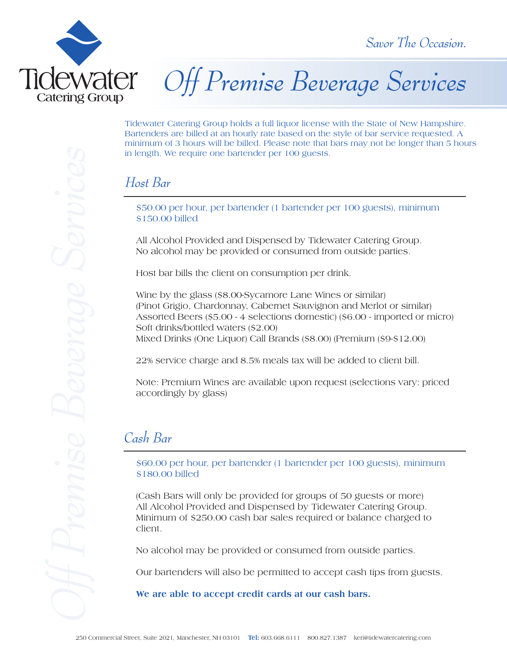

*Savor The Occasion.* 

## *Off Premise Beverage Services*

Tidewater Catering Group holds a full liquor license with the State of New Hampshire. Bartenders are billed at an hourly rate based on the style of bar service requested. A minimum of 3 hours will be billed. Please note that bars may not be longer than 5 hours in length. We require one bartender per 100 guests.

### *Host Bar*

\$50.00 per hour, per bartender (1 bartender per 100 guests), minimum \$150.00 billed

All Alcohol Provided and Dispensed by Tidewater Catering Group. No alcohol may be provided or consumed from outside parties.

Host bar bills the client on consumption per drink.

Wine by the glass (\$8.00-Sycamore Lane Wines or similar) (Pinot Grigio, Chardonnay, Cabernet Sauvignon and Merlot or similar) Assorted Beers (\$5.00 - 4 selections domestic) (\$6.00 - imported or micro) Soft drinks/bottled waters (\$2.00) Mixed Drinks (One Liquor) Call Brands (\$8.00) (Premium (\$9-\$12.00)

22% service charge and 8.5% meals tax will be added to client bill.

Note: Premium Wines are available upon request (selections vary: priced accordingly by glass)

### *Cash Bar*

\$60.00 per hour, per bartender (1 bartender per 100 guests), minimum \$180.00 billed

(Cash Bars will only be provided for groups of 50 guests or more) All Alcohol Provided and Dispensed by Tidewater Catering Group. Minimum of \$250.00 cash bar sales required or balance charged to client.

No alcohol may be provided or consumed from outside parties.

Our bartenders will also be permitted to accept cash tips from guests.

**We are able to accept credit cards at our cash bars.**